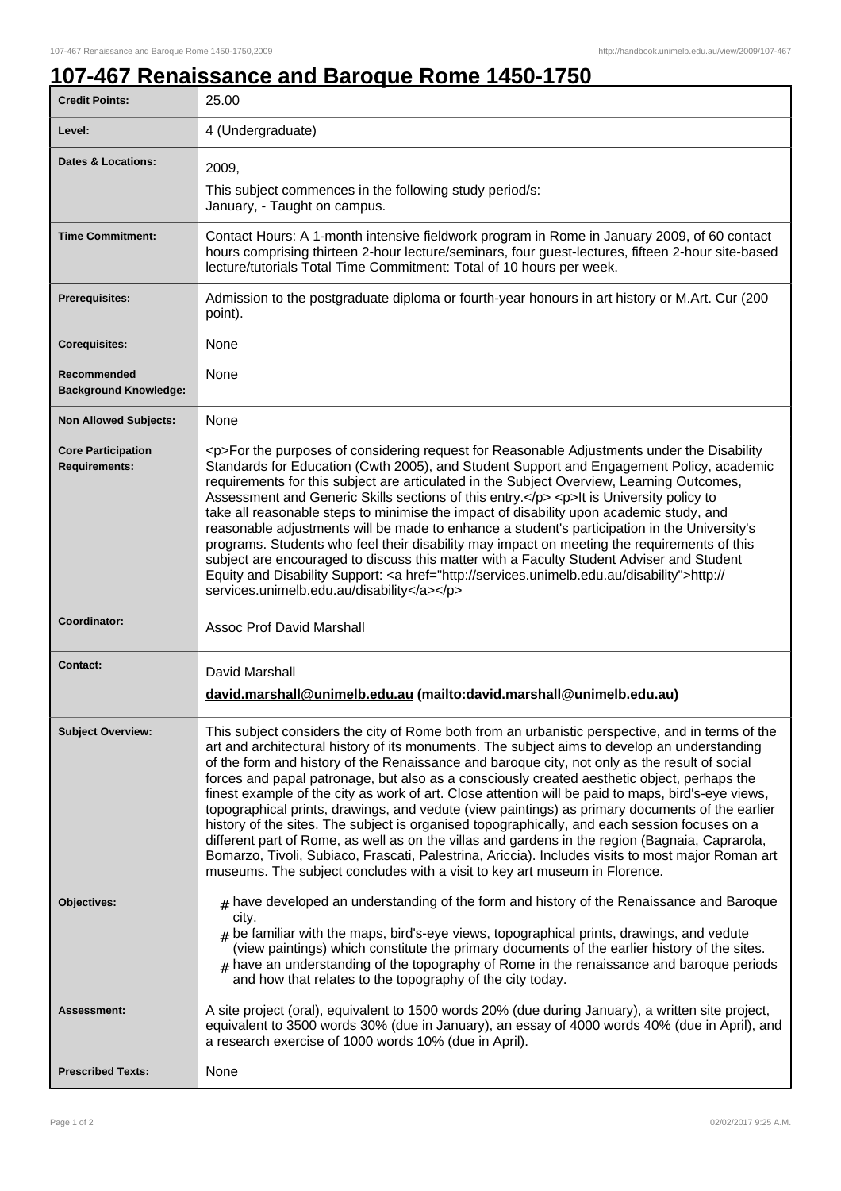٦

## **107-467 Renaissance and Baroque Rome 1450-1750**

| <b>Credit Points:</b>                             | 25.00                                                                                                                                                                                                                                                                                                                                                                                                                                                                                                                                                                                                                                                                                                                                                                                                                                                                                                                                                                                            |
|---------------------------------------------------|--------------------------------------------------------------------------------------------------------------------------------------------------------------------------------------------------------------------------------------------------------------------------------------------------------------------------------------------------------------------------------------------------------------------------------------------------------------------------------------------------------------------------------------------------------------------------------------------------------------------------------------------------------------------------------------------------------------------------------------------------------------------------------------------------------------------------------------------------------------------------------------------------------------------------------------------------------------------------------------------------|
| Level:                                            | 4 (Undergraduate)                                                                                                                                                                                                                                                                                                                                                                                                                                                                                                                                                                                                                                                                                                                                                                                                                                                                                                                                                                                |
| <b>Dates &amp; Locations:</b>                     | 2009,<br>This subject commences in the following study period/s:<br>January, - Taught on campus.                                                                                                                                                                                                                                                                                                                                                                                                                                                                                                                                                                                                                                                                                                                                                                                                                                                                                                 |
| <b>Time Commitment:</b>                           | Contact Hours: A 1-month intensive fieldwork program in Rome in January 2009, of 60 contact<br>hours comprising thirteen 2-hour lecture/seminars, four guest-lectures, fifteen 2-hour site-based<br>lecture/tutorials Total Time Commitment: Total of 10 hours per week.                                                                                                                                                                                                                                                                                                                                                                                                                                                                                                                                                                                                                                                                                                                         |
| Prerequisites:                                    | Admission to the postgraduate diploma or fourth-year honours in art history or M.Art. Cur (200<br>point).                                                                                                                                                                                                                                                                                                                                                                                                                                                                                                                                                                                                                                                                                                                                                                                                                                                                                        |
| <b>Corequisites:</b>                              | None                                                                                                                                                                                                                                                                                                                                                                                                                                                                                                                                                                                                                                                                                                                                                                                                                                                                                                                                                                                             |
| Recommended<br><b>Background Knowledge:</b>       | None                                                                                                                                                                                                                                                                                                                                                                                                                                                                                                                                                                                                                                                                                                                                                                                                                                                                                                                                                                                             |
| <b>Non Allowed Subjects:</b>                      | <b>None</b>                                                                                                                                                                                                                                                                                                                                                                                                                                                                                                                                                                                                                                                                                                                                                                                                                                                                                                                                                                                      |
| <b>Core Participation</b><br><b>Requirements:</b> | <p>For the purposes of considering request for Reasonable Adjustments under the Disability<br/>Standards for Education (Cwth 2005), and Student Support and Engagement Policy, academic<br/>requirements for this subject are articulated in the Subject Overview, Learning Outcomes,<br/>Assessment and Generic Skills sections of this entry.</p> <p>lt is University policy to<br/>take all reasonable steps to minimise the impact of disability upon academic study, and<br/>reasonable adjustments will be made to enhance a student's participation in the University's<br/>programs. Students who feel their disability may impact on meeting the requirements of this<br/>subject are encouraged to discuss this matter with a Faculty Student Adviser and Student<br/>Equity and Disability Support: &lt; a href="http://services.unimelb.edu.au/disability"&gt;http://<br/>services.unimelb.edu.au/disability</p>                                                                     |
| Coordinator:                                      | <b>Assoc Prof David Marshall</b>                                                                                                                                                                                                                                                                                                                                                                                                                                                                                                                                                                                                                                                                                                                                                                                                                                                                                                                                                                 |
| <b>Contact:</b>                                   | David Marshall<br>david.marshall@unimelb.edu.au (mailto:david.marshall@unimelb.edu.au)                                                                                                                                                                                                                                                                                                                                                                                                                                                                                                                                                                                                                                                                                                                                                                                                                                                                                                           |
| <b>Subject Overview:</b>                          | This subject considers the city of Rome both from an urbanistic perspective, and in terms of the<br>art and architectural history of its monuments. The subject aims to develop an understanding<br>of the form and history of the Renaissance and baroque city, not only as the result of social<br>forces and papal patronage, but also as a consciously created aesthetic object, perhaps the<br>finest example of the city as work of art. Close attention will be paid to maps, bird's-eye views,<br>topographical prints, drawings, and vedute (view paintings) as primary documents of the earlier<br>history of the sites. The subject is organised topographically, and each session focuses on a<br>different part of Rome, as well as on the villas and gardens in the region (Bagnaia, Caprarola,<br>Bomarzo, Tivoli, Subiaco, Frascati, Palestrina, Ariccia). Includes visits to most major Roman art<br>museums. The subject concludes with a visit to key art museum in Florence. |
| Objectives:                                       | $#$ have developed an understanding of the form and history of the Renaissance and Baroque<br>city.<br>$_{\#}$ be familiar with the maps, bird's-eye views, topographical prints, drawings, and vedute<br>(view paintings) which constitute the primary documents of the earlier history of the sites.<br>$_{\text{\#}}$ have an understanding of the topography of Rome in the renaissance and baroque periods<br>and how that relates to the topography of the city today.                                                                                                                                                                                                                                                                                                                                                                                                                                                                                                                     |
| Assessment:                                       | A site project (oral), equivalent to 1500 words 20% (due during January), a written site project,<br>equivalent to 3500 words 30% (due in January), an essay of 4000 words 40% (due in April), and<br>a research exercise of 1000 words 10% (due in April).                                                                                                                                                                                                                                                                                                                                                                                                                                                                                                                                                                                                                                                                                                                                      |
| <b>Prescribed Texts:</b>                          | None                                                                                                                                                                                                                                                                                                                                                                                                                                                                                                                                                                                                                                                                                                                                                                                                                                                                                                                                                                                             |